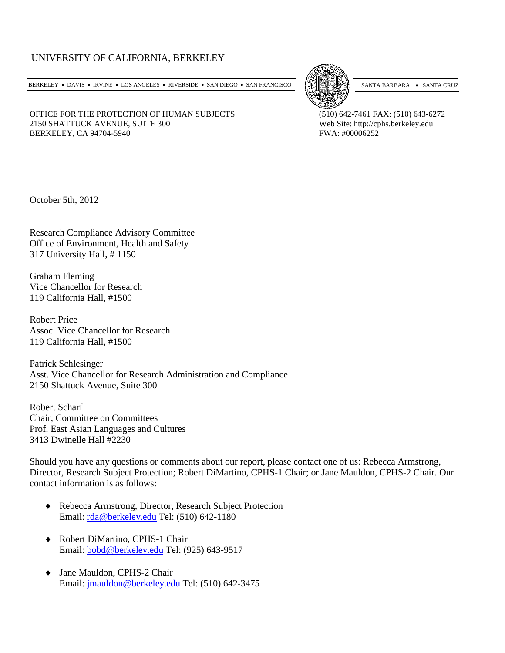# UNIVERSITY OF CALIFORNIA, BERKELEY

BERKELEY • DAVIS • IRVINE • LOS ANGELES • RIVERSIDE • SAN DIEGO • SAN FRANCISCO [57] SANTA BARBARA • SANTA CRUZ



OFFICE FOR THE PROTECTION OF HUMAN SUBJECTS (510) 642-7461 FAX: (510) 643-6272<br>2150 SHATTUCK AVENUE, SUITE 300 Web Site: http://cphs.berkeley.edu 2150 SHATTUCK AVENUE, SUITE 300 BERKELEY, CA 94704-5940 **FWA: #00006252** 

October 5th, 2012

Research Compliance Advisory Committee Office of Environment, Health and Safety 317 University Hall, # 1150

Graham Fleming Vice Chancellor for Research 119 California Hall, #1500

Robert Price Assoc. Vice Chancellor for Research 119 California Hall, #1500

Patrick Schlesinger Asst. Vice Chancellor for Research Administration and Compliance 2150 Shattuck Avenue, Suite 300

Robert Scharf Chair, Committee on Committees Prof. East Asian Languages and Cultures 3413 Dwinelle Hall #2230

Should you have any questions or comments about our report, please contact one of us: Rebecca Armstrong, Director, Research Subject Protection; Robert DiMartino, CPHS-1 Chair; or Jane Mauldon, CPHS-2 Chair. Our contact information is as follows:

- ♦ Rebecca Armstrong, Director, Research Subject Protection Email: [rda@berkeley.edu](mailto:rda@berkeley.edu) Tel: (510) 642-1180
- ♦ Robert DiMartino, CPHS-1 Chair Email: [bobd@berkeley.edu](mailto:bobd@berkeley.edu) Tel: (925) 643-9517
- ♦ Jane Mauldon, CPHS-2 Chair Email: [jmauldon@berkeley.edu](mailto:jmauldon@berkeley.edu) Tel: (510) 642-3475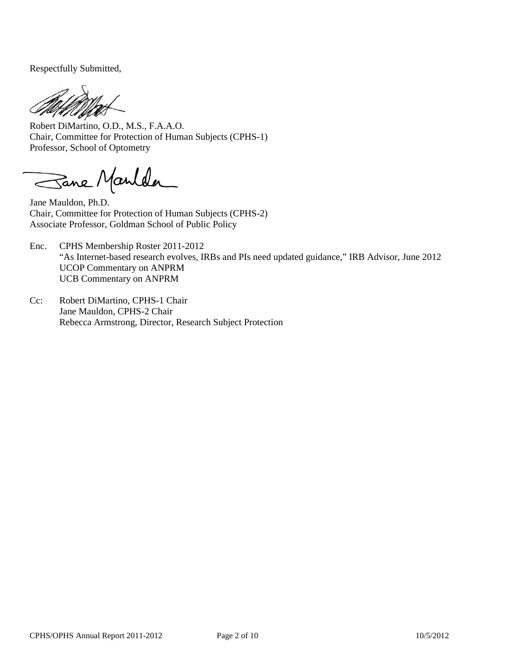Respectfully Submitted,

Robert DiMartino, O.D., M.S., F.A.A.O. Chair, Committee for Protection of Human Subjects (CPHS-1) Professor, School of Optometry

Sane Manlda

Jane Mauldon, Ph.D. Chair, Committee for Protection of Human Subjects (CPHS-2) Associate Professor, Goldman School of Public Policy

- Enc. CPHS Membership Roster 2011-2012 "As Internet-based research evolves, IRBs and PIs need updated guidance," IRB Advisor, June 2012 UCOP Commentary on ANPRM UCB Commentary on ANPRM
- Cc: Robert DiMartino, CPHS-1 Chair Jane Mauldon, CPHS-2 Chair Rebecca Armstrong, Director, Research Subject Protection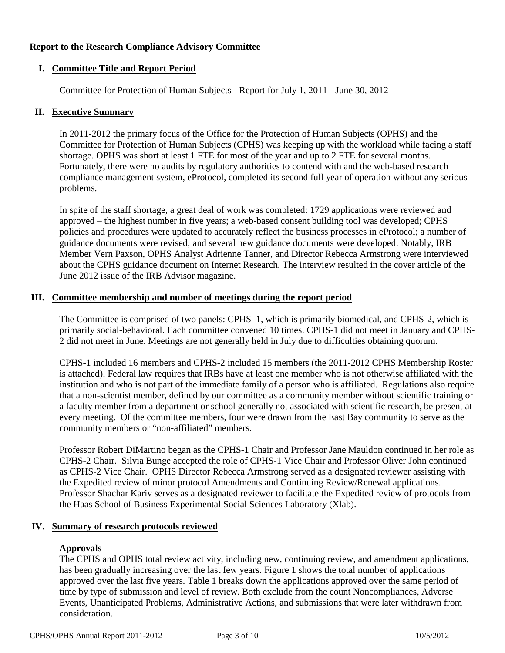#### **Report to the Research Compliance Advisory Committee**

#### **I. Committee Title and Report Period**

Committee for Protection of Human Subjects - Report for July 1, 2011 - June 30, 2012

#### **II. Executive Summary**

In 2011-2012 the primary focus of the Office for the Protection of Human Subjects (OPHS) and the Committee for Protection of Human Subjects (CPHS) was keeping up with the workload while facing a staff shortage. OPHS was short at least 1 FTE for most of the year and up to 2 FTE for several months. Fortunately, there were no audits by regulatory authorities to contend with and the web-based research compliance management system, eProtocol, completed its second full year of operation without any serious problems.

In spite of the staff shortage, a great deal of work was completed: 1729 applications were reviewed and approved – the highest number in five years; a web-based consent building tool was developed; CPHS policies and procedures were updated to accurately reflect the business processes in eProtocol; a number of guidance documents were revised; and several new guidance documents were developed. Notably, IRB Member Vern Paxson, OPHS Analyst Adrienne Tanner, and Director Rebecca Armstrong were interviewed about the CPHS guidance document on Internet Research. The interview resulted in the cover article of the June 2012 issue of the IRB Advisor magazine.

#### **III. Committee membership and number of meetings during the report period**

The Committee is comprised of two panels: CPHS–1, which is primarily biomedical, and CPHS-2, which is primarily social-behavioral. Each committee convened 10 times. CPHS-1 did not meet in January and CPHS-2 did not meet in June. Meetings are not generally held in July due to difficulties obtaining quorum.

CPHS-1 included 16 members and CPHS-2 included 15 members (the 2011-2012 CPHS Membership Roster is attached). Federal law requires that IRBs have at least one member who is not otherwise affiliated with the institution and who is not part of the immediate family of a person who is affiliated. Regulations also require that a non-scientist member, defined by our committee as a community member without scientific training or a faculty member from a department or school generally not associated with scientific research, be present at every meeting. Of the committee members, four were drawn from the East Bay community to serve as the community members or "non-affiliated" members.

Professor Robert DiMartino began as the CPHS-1 Chair and Professor Jane Mauldon continued in her role as CPHS-2 Chair. Silvia Bunge accepted the role of CPHS-1 Vice Chair and Professor Oliver John continued as CPHS-2 Vice Chair. OPHS Director Rebecca Armstrong served as a designated reviewer assisting with the Expedited review of minor protocol Amendments and Continuing Review/Renewal applications. Professor Shachar Kariv serves as a designated reviewer to facilitate the Expedited review of protocols from the Haas School of Business Experimental Social Sciences Laboratory (Xlab).

### **IV. Summary of research protocols reviewed**

### **Approvals**

The CPHS and OPHS total review activity, including new, continuing review, and amendment applications, has been gradually increasing over the last few years. Figure 1 shows the total number of applications approved over the last five years. Table 1 breaks down the applications approved over the same period of time by type of submission and level of review. Both exclude from the count Noncompliances, Adverse Events, Unanticipated Problems, Administrative Actions, and submissions that were later withdrawn from consideration.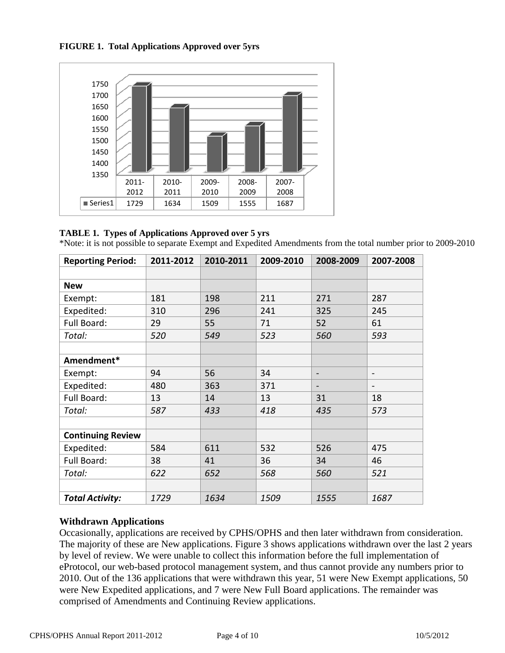



#### **TABLE 1. Types of Applications Approved over 5 yrs**

\*Note: it is not possible to separate Exempt and Expedited Amendments from the total number prior to 2009-2010

| <b>Reporting Period:</b> | 2011-2012 | 2010-2011 | 2009-2010 | 2008-2009                | 2007-2008                |
|--------------------------|-----------|-----------|-----------|--------------------------|--------------------------|
|                          |           |           |           |                          |                          |
| <b>New</b>               |           |           |           |                          |                          |
| Exempt:                  | 181       | 198       | 211       | 271                      | 287                      |
| Expedited:               | 310       | 296       | 241       | 325                      | 245                      |
| Full Board:              | 29        | 55        | 71        | 52                       | 61                       |
| Total:                   | 520       | 549       | 523       | 560                      | 593                      |
|                          |           |           |           |                          |                          |
| Amendment*               |           |           |           |                          |                          |
| Exempt:                  | 94        | 56        | 34        | $\overline{\phantom{0}}$ | $\overline{\phantom{a}}$ |
| Expedited:               | 480       | 363       | 371       | $\blacksquare$           | $\overline{\phantom{a}}$ |
| Full Board:              | 13        | 14        | 13        | 31                       | 18                       |
| Total:                   | 587       | 433       | 418       | 435                      | 573                      |
|                          |           |           |           |                          |                          |
| <b>Continuing Review</b> |           |           |           |                          |                          |
| Expedited:               | 584       | 611       | 532       | 526                      | 475                      |
| Full Board:              | 38        | 41        | 36        | 34                       | 46                       |
| Total:                   | 622       | 652       | 568       | 560                      | 521                      |
|                          |           |           |           |                          |                          |
| <b>Total Activity:</b>   | 1729      | 1634      | 1509      | 1555                     | 1687                     |

# **Withdrawn Applications**

Occasionally, applications are received by CPHS/OPHS and then later withdrawn from consideration. The majority of these are New applications. Figure 3 shows applications withdrawn over the last 2 years by level of review. We were unable to collect this information before the full implementation of eProtocol, our web-based protocol management system, and thus cannot provide any numbers prior to 2010. Out of the 136 applications that were withdrawn this year, 51 were New Exempt applications, 50 were New Expedited applications, and 7 were New Full Board applications. The remainder was comprised of Amendments and Continuing Review applications.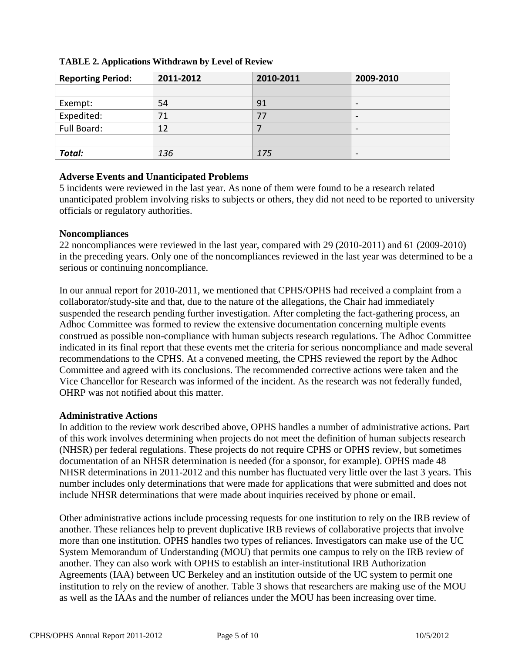| <b>Reporting Period:</b> | 2011-2012 | 2010-2011 | 2009-2010                |
|--------------------------|-----------|-----------|--------------------------|
|                          |           |           |                          |
| Exempt:                  | 54        | 91        | $\overline{\phantom{0}}$ |
| Expedited:               | 71        | 77        | $\overline{\phantom{0}}$ |
| Full Board:              | 12        |           | $\overline{\phantom{0}}$ |
|                          |           |           |                          |
| Total:                   | 136       | 175       | $\overline{\phantom{0}}$ |

### **TABLE 2. Applications Withdrawn by Level of Review**

### **Adverse Events and Unanticipated Problems**

5 incidents were reviewed in the last year. As none of them were found to be a research related unanticipated problem involving risks to subjects or others, they did not need to be reported to university officials or regulatory authorities.

## **Noncompliances**

22 noncompliances were reviewed in the last year, compared with 29 (2010-2011) and 61 (2009-2010) in the preceding years. Only one of the noncompliances reviewed in the last year was determined to be a serious or continuing noncompliance.

In our annual report for 2010-2011, we mentioned that CPHS/OPHS had received a complaint from a collaborator/study-site and that, due to the nature of the allegations, the Chair had immediately suspended the research pending further investigation. After completing the fact-gathering process, an Adhoc Committee was formed to review the extensive documentation concerning multiple events construed as possible non-compliance with human subjects research regulations. The Adhoc Committee indicated in its final report that these events met the criteria for serious noncompliance and made several recommendations to the CPHS. At a convened meeting, the CPHS reviewed the report by the Adhoc Committee and agreed with its conclusions. The recommended corrective actions were taken and the Vice Chancellor for Research was informed of the incident. As the research was not federally funded, OHRP was not notified about this matter.

### **Administrative Actions**

In addition to the review work described above, OPHS handles a number of administrative actions. Part of this work involves determining when projects do not meet the definition of human subjects research (NHSR) per federal regulations. These projects do not require CPHS or OPHS review, but sometimes documentation of an NHSR determination is needed (for a sponsor, for example). OPHS made 48 NHSR determinations in 2011-2012 and this number has fluctuated very little over the last 3 years. This number includes only determinations that were made for applications that were submitted and does not include NHSR determinations that were made about inquiries received by phone or email.

Other administrative actions include processing requests for one institution to rely on the IRB review of another. These reliances help to prevent duplicative IRB reviews of collaborative projects that involve more than one institution. OPHS handles two types of reliances. Investigators can make use of the UC System Memorandum of Understanding (MOU) that permits one campus to rely on the IRB review of another. They can also work with OPHS to establish an inter-institutional IRB Authorization Agreements (IAA) between UC Berkeley and an institution outside of the UC system to permit one institution to rely on the review of another. Table 3 shows that researchers are making use of the MOU as well as the IAAs and the number of reliances under the MOU has been increasing over time.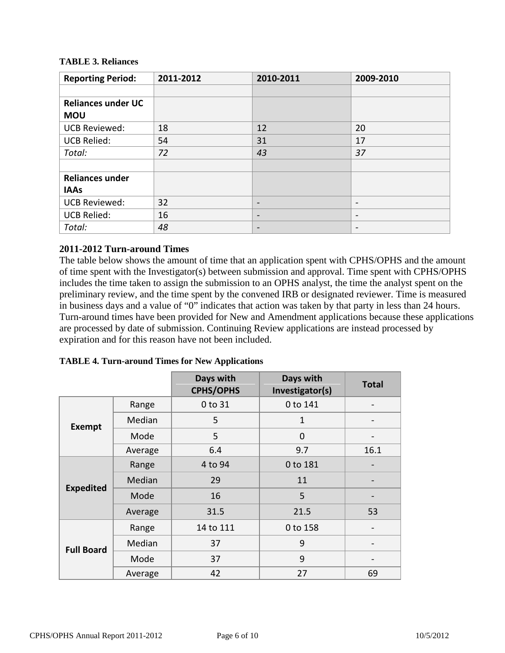### **TABLE 3. Reliances**

| <b>Reporting Period:</b>  | 2011-2012 | 2010-2011                | 2009-2010                    |
|---------------------------|-----------|--------------------------|------------------------------|
|                           |           |                          |                              |
| <b>Reliances under UC</b> |           |                          |                              |
| <b>MOU</b>                |           |                          |                              |
| <b>UCB Reviewed:</b>      | 18        | 12                       | 20                           |
| <b>UCB Relied:</b>        | 54        | 31                       | 17                           |
| Total:                    | 72        | 43                       | 37                           |
|                           |           |                          |                              |
| <b>Reliances under</b>    |           |                          |                              |
| <b>IAAs</b>               |           |                          |                              |
| <b>UCB Reviewed:</b>      | 32        | $\overline{\phantom{a}}$ | $\qquad \qquad \blacksquare$ |
| <b>UCB Relied:</b>        | 16        | $\overline{\phantom{a}}$ | $\overline{\phantom{a}}$     |
| Total:                    | 48        | $\overline{\phantom{m}}$ | $\overline{\phantom{a}}$     |

## **2011-2012 Turn-around Times**

The table below shows the amount of time that an application spent with CPHS/OPHS and the amount of time spent with the Investigator(s) between submission and approval. Time spent with CPHS/OPHS includes the time taken to assign the submission to an OPHS analyst, the time the analyst spent on the preliminary review, and the time spent by the convened IRB or designated reviewer. Time is measured in business days and a value of "0" indicates that action was taken by that party in less than 24 hours. Turn-around times have been provided for New and Amendment applications because these applications are processed by date of submission. Continuing Review applications are instead processed by expiration and for this reason have not been included.

|                   |         | Days with<br><b>CPHS/OPHS</b> | Days with<br>Investigator(s) | <b>Total</b>                 |
|-------------------|---------|-------------------------------|------------------------------|------------------------------|
| Exempt            | Range   | 0 to 31                       | 0 to 141                     | $\qquad \qquad \blacksquare$ |
|                   | Median  | 5                             | 1                            |                              |
|                   | Mode    | 5                             | $\Omega$                     |                              |
|                   | Average | 6.4                           | 9.7                          | 16.1                         |
| <b>Expedited</b>  | Range   | 4 to 94                       | 0 to 181                     |                              |
|                   | Median  | 29                            | 11                           |                              |
|                   | Mode    | 16                            | 5                            |                              |
|                   | Average | 31.5                          | 21.5                         | 53                           |
| <b>Full Board</b> | Range   | 14 to 111                     | 0 to 158                     |                              |
|                   | Median  | 37                            | 9                            |                              |
|                   | Mode    | 37                            | 9                            |                              |
|                   | Average | 42                            | 27                           | 69                           |

**TABLE 4. Turn-around Times for New Applications**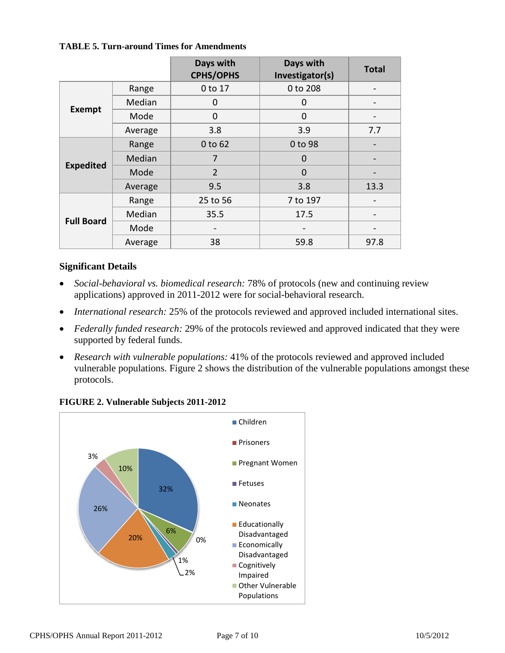#### **TABLE 5. Turn-around Times for Amendments**

|                   |         | Days with<br><b>CPHS/OPHS</b> | Days with<br>Investigator(s) | <b>Total</b> |
|-------------------|---------|-------------------------------|------------------------------|--------------|
| <b>Exempt</b>     | Range   | 0 to 17                       | 0 to 208                     |              |
|                   | Median  | 0                             | 0                            |              |
|                   | Mode    | 0                             | $\mathbf 0$                  |              |
|                   | Average | 3.8                           | 3.9                          | 7.7          |
| <b>Expedited</b>  | Range   | 0 to 62                       | 0 to 98                      |              |
|                   | Median  | 7                             | $\Omega$                     |              |
|                   | Mode    | $\overline{2}$                | $\Omega$                     |              |
|                   | Average | 9.5                           | 3.8                          | 13.3         |
| <b>Full Board</b> | Range   | 25 to 56                      | 7 to 197                     |              |
|                   | Median  | 35.5                          | 17.5                         |              |
|                   | Mode    |                               |                              |              |
|                   | Average | 38                            | 59.8                         | 97.8         |

### **Significant Details**

- *Social-behavioral vs. biomedical research:* 78% of protocols (new and continuing review applications) approved in 2011-2012 were for social-behavioral research.
- *International research:* 25% of the protocols reviewed and approved included international sites.
- *Federally funded research:* 29% of the protocols reviewed and approved indicated that they were supported by federal funds.
- *Research with vulnerable populations:* 41% of the protocols reviewed and approved included vulnerable populations. Figure 2 shows the distribution of the vulnerable populations amongst these protocols.



### **FIGURE 2. Vulnerable Subjects 2011-2012**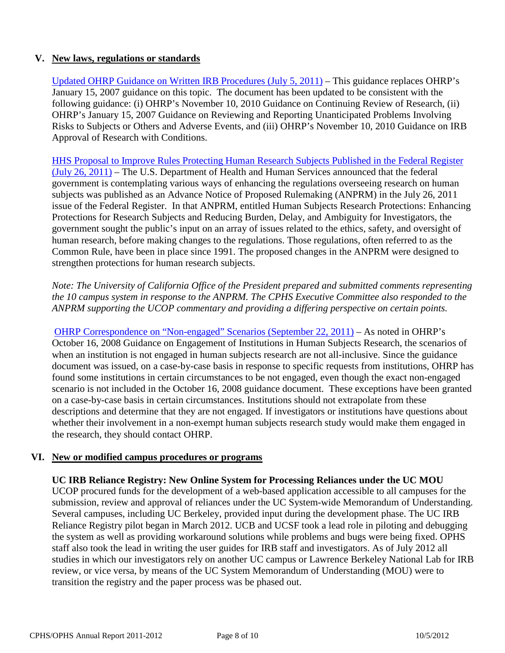# **V. New laws, regulations or standards**

[Updated OHRP Guidance on Written IRB Procedures \(July 5, 2011\)](http://www.hhs.gov/ohrp/policy/irbgd107.html) – This guidance replaces OHRP's January 15, 2007 guidance on this topic. The document has been updated to be consistent with the following guidance: (i) OHRP's November 10, 2010 Guidance on Continuing Review of Research, (ii) OHRP's January 15, 2007 Guidance on Reviewing and Reporting Unanticipated Problems Involving Risks to Subjects or Others and Adverse Events, and (iii) OHRP's November 10, 2010 Guidance on IRB Approval of Research with Conditions.

[HHS Proposal to Improve Rules Protecting Human Research Subjects Published in the Federal Register](http://www.gpo.gov/fdsys/pkg/FR-2011-07-26/html/2011-18792.htm)  [\(July 26, 2011\)](http://www.gpo.gov/fdsys/pkg/FR-2011-07-26/html/2011-18792.htm) – The U.S. Department of Health and Human Services announced that the federal government is contemplating various ways of enhancing the regulations overseeing research on human subjects was published as an Advance Notice of Proposed Rulemaking (ANPRM) in the July 26, 2011 issue of the Federal Register. In that ANPRM, entitled Human Subjects Research Protections: Enhancing Protections for Research Subjects and Reducing Burden, Delay, and Ambiguity for Investigators, the government sought the public's input on an array of issues related to the ethics, safety, and oversight of human research, before making changes to the regulations. Those regulations, often referred to as the Common Rule, have been in place since 1991. The proposed changes in the ANPRM were designed to strengthen protections for human research subjects.

*Note: The University of California Office of the President prepared and submitted comments representing the 10 campus system in response to the ANPRM. The CPHS Executive Committee also responded to the ANPRM supporting the UCOP commentary and providing a differing perspective on certain points.*

[OHRP Correspondence on "Non-engaged" Scenarios](http://www.hhs.gov/ohrp/policy/Correspondence/nonengageexamples2011.html) (September 22, 2011) – As noted in OHRP's October 16, 2008 Guidance on Engagement of Institutions in Human Subjects Research, the scenarios of when an institution is not engaged in human subjects research are not all-inclusive. Since the guidance document was issued, on a case-by-case basis in response to specific requests from institutions, OHRP has found some institutions in certain circumstances to be not engaged, even though the exact non-engaged scenario is not included in the October 16, 2008 guidance document. These exceptions have been granted on a case-by-case basis in certain circumstances. Institutions should not extrapolate from these descriptions and determine that they are not engaged. If investigators or institutions have questions about whether their involvement in a non-exempt human subjects research study would make them engaged in the research, they should contact OHRP.

### **VI. New or modified campus procedures or programs**

**UC IRB Reliance Registry: New Online System for Processing Reliances under the UC MOU**

UCOP procured funds for the development of a web-based application accessible to all campuses for the submission, review and approval of reliances under the UC System-wide Memorandum of Understanding. Several campuses, including UC Berkeley, provided input during the development phase. The UC IRB Reliance Registry pilot began in March 2012. UCB and UCSF took a lead role in piloting and debugging the system as well as providing workaround solutions while problems and bugs were being fixed. OPHS staff also took the lead in writing the user guides for IRB staff and investigators. As of July 2012 all studies in which our investigators rely on another UC campus or Lawrence Berkeley National Lab for IRB review, or vice versa, by means of the UC System Memorandum of Understanding (MOU) were to transition the registry and the paper process was be phased out.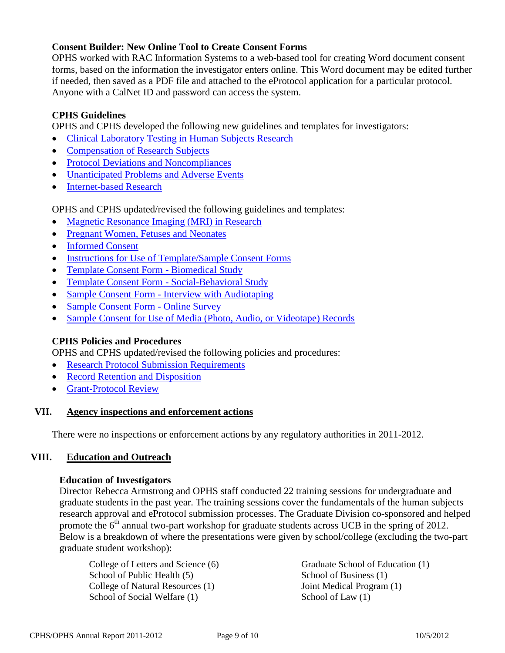# **Consent Builder: New Online Tool to Create Consent Forms**

OPHS worked with RAC Information Systems to a web-based tool for creating Word document consent forms, based on the information the investigator enters online. This Word document may be edited further if needed, then saved as a PDF file and attached to the eProtocol application for a particular protocol. Anyone with a CalNet ID and password can access the system.

# **CPHS Guidelines**

OPHS and CPHS developed the following new guidelines and templates for investigators:

- [Clinical Laboratory Testing in Human Subjects Research](http://cphs.berkeley.edu/clia.pdf)
- [Compensation of Research Subjects](http://cphs.berkeley.edu/compensation.pdf)
- [Protocol Deviations and Noncompliances](http://cphs.berkeley.edu/protocol_deviations_noncompliances.pdf)
- [Unanticipated Problems and Adverse Events](http://cphs.berkeley.edu/unanticipated_problems_adverse_events.pdf)
- [Internet-based Research](http://cphs.berkeley.edu/internet_research.pdf)

OPHS and CPHS updated/revised the following guidelines and templates:

- [Magnetic Resonance Imaging \(MRI\) in Research](http://cphs.berkeley.edu/mri.pdf)
- [Pregnant Women, Fetuses and Neonates](http://cphs.berkeley.edu/pregnantwomen_fetuses_neonates.pdf)
- [Informed Consent](http://cphs.berkeley.edu/consent.pdf)
- [Instructions for Use of Template/Sample Consent Forms](http://cphs.berkeley.edu/instructions_consenttemplate-use.pdf)
- [Template Consent Form -](http://cphs.berkeley.edu/CF-Template_Biomed.doc) Biomedical Study
- [Template Consent Form -](http://cphs.berkeley.edu/CF-Template_SocBehav.doc) Social-Behavioral Study
- Sample Consent Form [Interview with Audiotaping](http://cphs.berkeley.edu/CF-Sample_Interview_Audiotape.doc)
- [Sample Consent Form -](http://cphs.berkeley.edu/CF-Sample_OnlineSurvey.doc) Online Survey
- [Sample Consent for Use of Media \(Photo, Audio, or Videotape\) Records](http://cphs.berkeley.edu/CF-Sample_MediaRecordsReleaseForm.doc)

### **CPHS Policies and Procedures**

OPHS and CPHS updated/revised the following policies and procedures:

- [Research Protocol Submission Requirements](http://cphs.berkeley.edu/policies_procedures/fo301.pdf)
- [Record Retention and Disposition](http://cphs.berkeley.edu/policies_procedures/fo304.pdf)
- [Grant-Protocol Review](http://cphs.berkeley.edu/policies_procedures/rr411.pdf)

### **VII. Agency inspections and enforcement actions**

There were no inspections or enforcement actions by any regulatory authorities in 2011-2012.

### **VIII. Education and Outreach**

### **Education of Investigators**

Director Rebecca Armstrong and OPHS staff conducted 22 training sessions for undergraduate and graduate students in the past year. The training sessions cover the fundamentals of the human subjects research approval and eProtocol submission processes. The Graduate Division co-sponsored and helped promote the 6<sup>th</sup> annual two-part workshop for graduate students across UCB in the spring of 2012. Below is a breakdown of where the presentations were given by school/college (excluding the two-part graduate student workshop):

College of Letters and Science (6) Graduate School of Education (1) School of Public Health (5) School of Business (1) College of Natural Resources (1)  $\qquad \qquad$  Joint Medical Program (1) School of Social Welfare (1) School of Law (1)